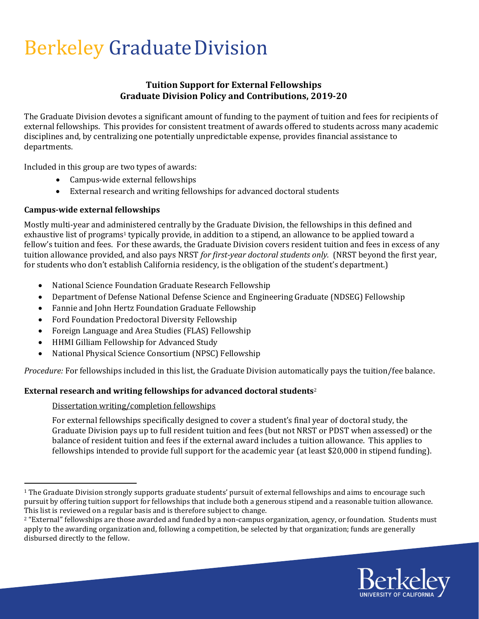# Berkeley Graduate Division

### Tuition Support for External Fellowships Graduate Division Policy and Contributions, 2019-20

The Graduate Division devotes a significant amount of funding to the payment of tuition and fees for recipients of external fellowships. This provides for consistent treatment of awards offered to students across many academic disciplines and, by centralizing one potentially unpredictable expense, provides financial assistance to departments.

Included in this group are two types of awards:

- Campus-wide external fellowships
- External research and writing fellowships for advanced doctoral students

### Campus-wide external fellowships

Mostly multi-year and administered centrally by the Graduate Division, the fellowships in this defined and exhaustive list of programs<sup>1</sup> typically provide, in addition to a stipend, an allowance to be applied toward a fellow's tuition and fees. For these awards, the Graduate Division covers resident tuition and fees in excess of any tuition allowance provided, and also pays NRST for first-year doctoral students only. (NRST beyond the first year, for students who don't establish California residency, is the obligation of the student's department.)

- National Science Foundation Graduate Research Fellowship
- Department of Defense National Defense Science and Engineering Graduate (NDSEG) Fellowship
- Fannie and John Hertz Foundation Graduate Fellowship
- Ford Foundation Predoctoral Diversity Fellowship
- Foreign Language and Area Studies (FLAS) Fellowship
- HHMI Gilliam Fellowship for Advanced Study
- National Physical Science Consortium (NPSC) Fellowship

Procedure: For fellowships included in this list, the Graduate Division automatically pays the tuition/fee balance.

## External research and writing fellowships for advanced doctoral students<sup>2</sup>

#### Dissertation writing/completion fellowships

For external fellowships specifically designed to cover a student's final year of doctoral study, the Graduate Division pays up to full resident tuition and fees (but not NRST or PDST when assessed) or the balance of resident tuition and fees if the external award includes a tuition allowance. This applies to fellowships intended to provide full support for the academic year (at least \$20,000 in stipend funding).

<sup>&</sup>lt;sup>2</sup> "External" fellowships are those awarded and funded by a non-campus organization, agency, or foundation. Students must apply to the awarding organization and, following a competition, be selected by that organization; funds are generally disbursed directly to the fellow.



 $1$  The Graduate Division strongly supports graduate students' pursuit of external fellowships and aims to encourage such pursuit by offering tuition support for fellowships that include both a generous stipend and a reasonable tuition allowance. This list is reviewed on a regular basis and is therefore subject to change.